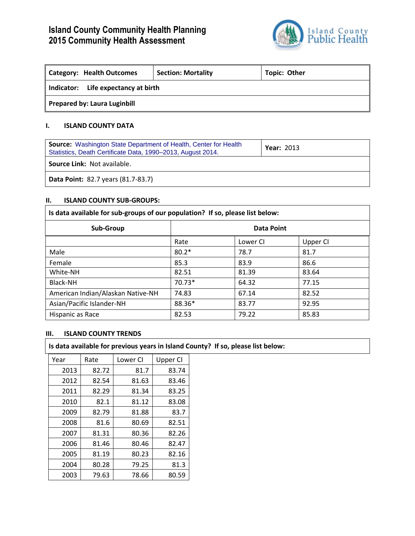# **Island County Community Health Planning 2015 Community Health Assessment**



| Category: Health Outcomes              | <b>Section: Mortality</b> | <b>Topic: Other</b> |  |  |
|----------------------------------------|---------------------------|---------------------|--|--|
| Life expectancy at birth<br>Indicator: |                           |                     |  |  |
| <b>Prepared by: Laura Luginbill</b>    |                           |                     |  |  |

## **I. ISLAND COUNTY DATA**

| <b>Source:</b> Washington State Department of Health, Center for Health<br>Statistics, Death Certificate Data, 1990-2013, August 2014. | <b>Year: 2013</b> |  |
|----------------------------------------------------------------------------------------------------------------------------------------|-------------------|--|
| <b>Source Link: Not available.</b>                                                                                                     |                   |  |
| <b>Data Point: 82.7 years (81.7-83.7)</b>                                                                                              |                   |  |

## **II. ISLAND COUNTY SUB-GROUPS:**

| Is data available for sub-groups of our population? If so, please list below: |            |          |          |
|-------------------------------------------------------------------------------|------------|----------|----------|
| Sub-Group                                                                     | Data Point |          |          |
|                                                                               | Rate       | Lower CI | Upper CI |
| Male                                                                          | $80.2*$    | 78.7     | 81.7     |
| Female                                                                        | 85.3       | 83.9     | 86.6     |
| White-NH                                                                      | 82.51      | 81.39    | 83.64    |
| Black-NH                                                                      | 70.73*     | 64.32    | 77.15    |
| American Indian/Alaskan Native-NH                                             | 74.83      | 67.14    | 82.52    |
| Asian/Pacific Islander-NH                                                     | 88.36*     | 83.77    | 92.95    |
| Hispanic as Race                                                              | 82.53      | 79.22    | 85.83    |

## **III. ISLAND COUNTY TRENDS**

**Is data available for previous years in Island County? If so, please list below:**

| Year | Rate  | Lower Cl | Upper CI |
|------|-------|----------|----------|
| 2013 | 82.72 | 81.7     | 83.74    |
| 2012 | 82.54 | 81.63    | 83.46    |
| 2011 | 82.29 | 81.34    | 83.25    |
| 2010 | 82.1  | 81.12    | 83.08    |
| 2009 | 82.79 | 81.88    | 83.7     |
| 2008 | 81.6  | 80.69    | 82.51    |
| 2007 | 81.31 | 80.36    | 82.26    |
| 2006 | 81.46 | 80.46    | 82.47    |
| 2005 | 81.19 | 80.23    | 82.16    |
| 2004 | 80.28 | 79.25    | 81.3     |
| 2003 | 79.63 | 78.66    | 80.59    |